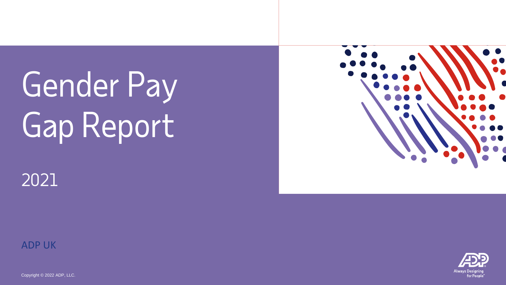# Gender Pay Gap Report



## 2021

ADP UK

Copyright © 2022 ADP, LLC.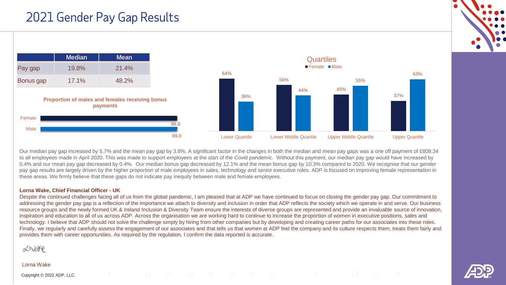## 2021 Gender Pay Gap Results





Our median pay gap increased by 5.7% and the mean pay gap by 3.8%. A significant factor in the changes in both the median and mean pay gaps was a one off payment of £808.34 to all employees made in April 2020. This was made to support employees at the start of the Covid pandemic. Without this payment, our median pay gap would have increased by 0.4% and our mean pay gap decreased by 0.4%. Our median bonus gap decreased by 12.1% and the mean bonus gap by 10.3% compared to 2020. We recognise that our gender pay gap results are largely driven by the higher proportion of male employees in sales, technology and senior executive roles. ADP is focused on improving female representation in these areas. We firmly believe that these gaps do not indicate pay inequity between male and female employees.

#### **Lorna Wake, Chief Financial Officer - UK**

Despite the continued challenges facing all of us from the global pandemic, I am pleased that at ADP we have continued to focus on closing the gender pay gap. Our commitment to addressing the gender pay gap is a reflection of the importance we attach to diversity and inclusion in order that ADP reflects the society which we operate in and serve. Our business resource groups and the newly formed UK & Ireland Inclusion & Diversity Team ensure the interests of diverse groups are represented and provide an invaluable source of innovation, inspiration and education to all of us across ADP. Across the organisation we are working hard to continue to increase the proportion of women in executive positions, sales and technology. I believe that ADP should not solve the challenge simply by hiring from other companies but by developing and creating career paths for our associates into these roles. Finally, we regularly and carefully assess the engagement of our associates and that tells us that women at ADP feel the company and its culture respects them, treats them fairly and provides them with career opportunities. As required by the regulation, I confirm the data reported is accurate.

Xhare

#### Lorna Wake

Copyright © 2022 ADP, LLC.



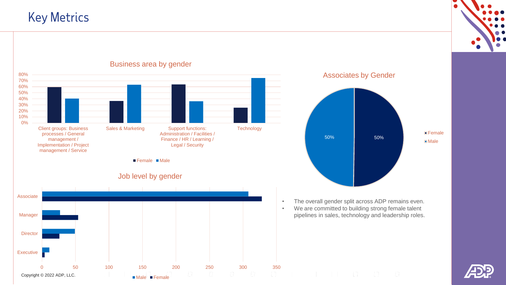## Key Metrics